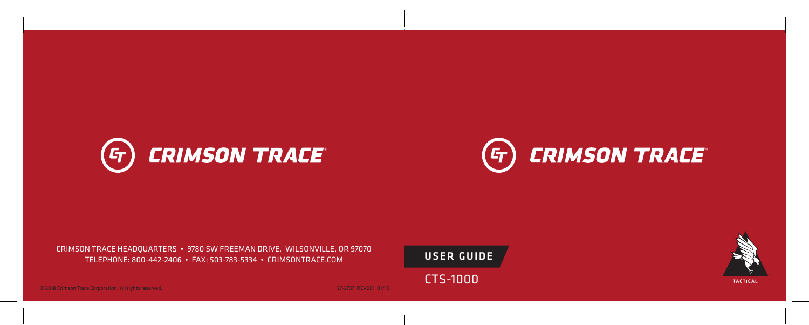



CRIMSON TRACE HEADQUARTERS • 9780 SW FREEMAN DRIVE, WILSONVILLE, OR 97070 TELEPHONE: 800-442-2406 • FAX: 503-783-5334 • CRIMSONTRACE.COM

USER GUIDE

CTS-1000

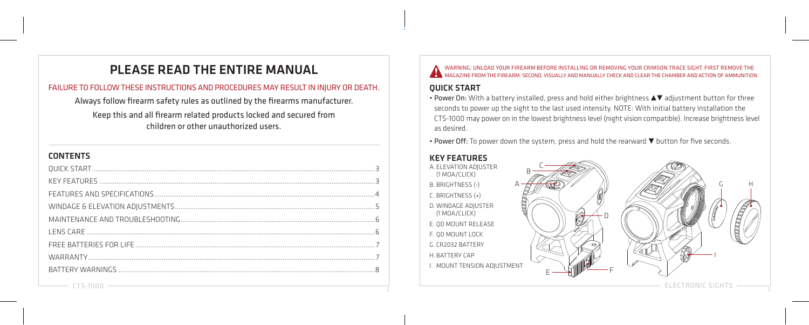# PLEASE READ THE ENTIRE MANUAL

#### FAILURE TO FOLLOW THESE INSTRUCTIONS AND PROCEDURES MAY RESULT IN INJURY OR DEATH.

Always follow firearm safety rules as outlined by the firearms manufacturer.

Keep this and all firearm related products locked and secured from children or other unauthorized users.

# CONTENTS

WARNING: UNLOAD YOUR FIREARM BEFORE INSTALLING OR REMOVING YOUR CRIMSON TRACE SIGHT. FIRST REMOVE THE MAGAZINE FROM THE FIREARM. SECOND, VISUALLY AND MANUALLY CHECK AND CLEAR THE CHAMBER AND ACTION OF AMMUNITION.

# QUICK START

• Power On: With a battery installed, press and hold either brightness  $\blacktriangle\blacktriangledown$  adjustment button for three seconds to power up the sight to the last used intensity. NOTE: With initial battery installation the CTS-1000 may power on in the lowest brightness level (night vision compatible). Increase brightness level as desired.

• Power Off: To power down the system, press and hold the rearward  $\blacktriangledown$  button for five seconds.

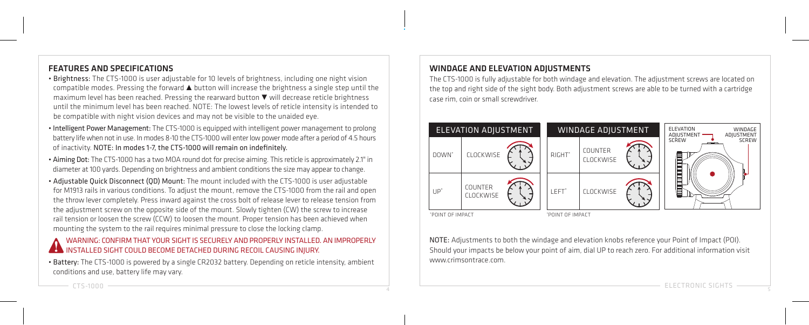### FEATURES AND SPECIFICATIONS

- Brightness: The CTS-1000 is user adjustable for 10 levels of brightness, including one night vision  $comparable$  modes. Pressing the forward  $\blacktriangle$  button will increase the brightness a single step until the maximum level has been reached. Pressing the rearward button  $\nabla$  will decrease reticle brightness until the minimum level has been reached. NOTE: The lowest levels of reticle intensity is intended to be compatible with night vision devices and may not be visible to the unaided eye.
- Intelligent Power Management: The CTS-1000 is equipped with intelligent power management to prolong battery life when not in use. In modes 8-10 the CTS-1000 will enter low power mode after a period of 4.5 hours of inactivity. NOTE: In modes 1-7, the CTS-1000 will remain on indefinitely.
- Aiming Dot: The CTS-1000 has a two MOA round dot for precise aiming. This reticle is approximately 2.1" in diameter at 100 yards. Depending on brightness and ambient conditions the size may appear to change.
- Adjustable Quick Disconnect (QD) Mount: The mount included with the CTS-1000 is user adjustable for M1913 rails in various conditions. To adjust the mount, remove the CTS-1000 from the rail and open the throw lever completely. Press inward against the cross bolt of release lever to release tension from the adjustment screw on the opposite side of the mount. Slowly tighten (CW) the screw to increase rail tension or loosen the screw (CCW) to loosen the mount. Proper tension has been achieved when mounting the system to the rail requires minimal pressure to close the locking clamp.

#### WARNING: CONFIRM THAT YOUR SIGHT IS SECURELY AND PROPERLY INSTALLED. AN IMPROPERLY INSTALLED SIGHT COULD BECOME DETACHED DURING RECOIL CAUSING INJURY.

• Battery: The CTS-1000 is powered by a single CR2032 battery. Depending on reticle intensity, ambient conditions and use, battery life may vary.

# WINDAGE AND ELEVATION ADJUSTMENTS

The CTS-1000 is fully adjustable for both windage and elevation. The adjustment screws are located on the top and right side of the sight body. Both adjustment screws are able to be turned with a cartridge case rim, coin or small screwdriver.



NOTE: Adjustments to both the windage and elevation knobs reference your Point of Impact (POI). Should your impacts be below your point of aim, dial UP to reach zero. For additional information visit www.crimsontrace.com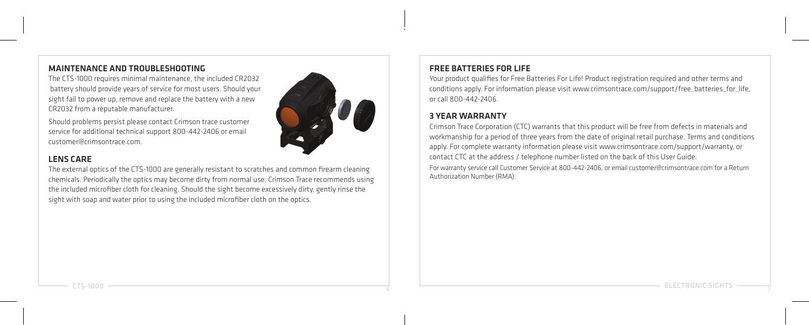#### MAINTENANCE AND TROUBLESHOOTING

The CTS-1000 requires minimal maintenance, the included CR2032 battery should provide years of service for most users. Should your sight fail to nower un, remove and replace the battery with a new CR2032 from a reputable manufacturer.

Should problems persist please contact Crimson trace customer service for additional technical support 800-442-2406 or email customer@crimsontrace.com.

# LENS CARE

The external optics of the CTS-1000 are generally resistant to scratches and common firearm cleaning chemicals. Periodically the optics may become dirty from normal use, Crimson Trace recommends using the included microfiber cloth for cleaning. Should the sight become excessively dirty, gently rinse the sight with soap and water prior to using the included microfiber cloth on the optics.

# FREE BATTERIES FOR LIFE

Your product qualifies for Free Batteries For Life! Product registration required and other terms and conditions apply. For information please visit www.crimsontrace.com/support/free\_batteries\_for\_life. or call 800-442-2406.

# 3 YEAR WARRANTY

Crimson Trace Corporation (CTC) warrants that this product will be free from defects in materials and workmanship for a period of three years from the date of original retail purchase. Terms and conditions apply. For complete warranty information please visit www.crimsontrace.com/support/warranty, or contact CTC at the address / telephone number listed on the back of this User Guide.

For warranty service call Customer Service at 800-442-2406, or email customer@crimsontrace.com for a Return Authorization Number (RMA).

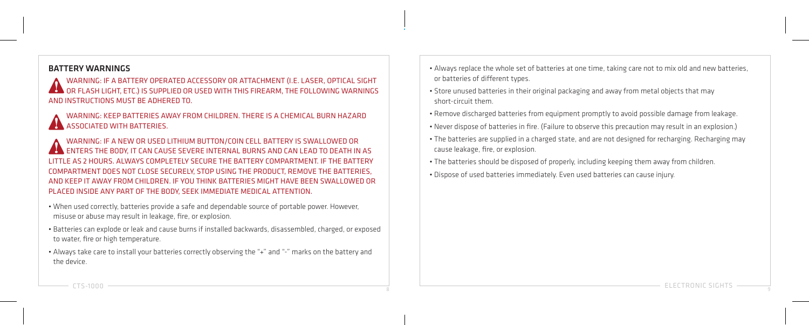#### BATTERY WARNINGS

WARNING: IF A BATTERY OPERATED ACCESSORY OR ATTACHMENT (I.E. LASER, OPTICAL SIGHT  $\blacklozenge$  OR FLASH LIGHT, ETC.) IS SUPPLIED OR USED WITH THIS FIREARM. THE FOLLOWING WARNINGS AND INSTRUCTIONS MUST BE ADHERED TO.

WARNING: KEEP BATTERIES AWAY FROM CHILDREN. THERE IS A CHEMICAL BURN HAZARD ASSOCIATED WITH BATTERIES.

WARNING: IF A NEW OR USED LITHIUM BUTTON/COIN CELL BATTERY IS SWALLOWED OR ENTERS THE BODY, IT CAN CAUSE SEVERE INTERNAL BURNS AND CAN LEAD TO DEATH IN AS LITTLE AS 2 HOURS. ALWAYS COMPLETELY SECURE THE BATTERY COMPARTMENT. IF THE BATTERY COMPARTMENT DOES NOT CLOSE SECURELY, STOP USING THE PRODUCT, REMOVE THE BATTERIES, AND KEEP IT AWAY FROM CHILDREN. IF YOU THINK BATTERIES MIGHT HAVE BEEN SWALLOWED OR PLACED INSIDE ANY PART OF THE BODY, SEEK IMMEDIATE MEDICAL ATTENTION.

- When used correctly, batteries provide a safe and dependable source of portable power. However, misuse or abuse may result in leakage, fire, or explosion.
- Batteries can explode or leak and cause burns if installed backwards, disassembled, charged, or exposed to water, fire or high temperature.
- Always take care to install your batteries correctly observing the "+" and "-" marks on the battery and the device.
- Always replace the whole set of batteries at one time, taking care not to mix old and new batteries, or batteries of different types.
- Store unused batteries in their original packaging and away from metal objects that may short-circuit them.
- Remove discharged batteries from equipment promptly to avoid possible damage from leakage.
- Never dispose of batteries in fire. (Failure to observe this precaution may result in an explosion.)
- The batteries are supplied in a charged state, and are not designed for recharging. Recharging may cause leakage, fire, or explosion.
- The batteries should be disposed of properly, including keeping them away from children.
- Dispose of used batteries immediately. Even used batteries can cause injury.

و ELECTRONIC SIGHTS المستقدم المستقدم المستقدم المستقدم المستقدم المستقدم المستقدم المستقدم المستقدم المستقدم المستقدم المستقدم المستقدم المستقدم المستقدم المستقدم المستقدم المستقدم المستقدم المستقدم المستقدم المستقدم الم